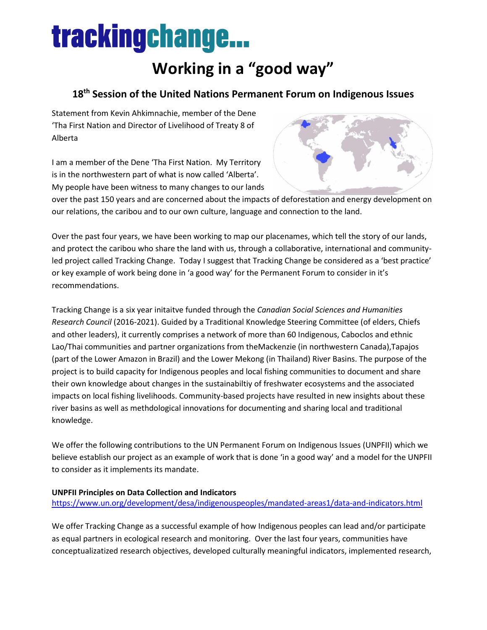# **trackingchange...**

### **Working in a "good way"**

### **18th Session of the United Nations Permanent Forum on Indigenous Issues**

Statement from Kevin Ahkimnachie, member of the Dene 'Tha First Nation and Director of Livelihood of Treaty 8 of Alberta

I am a member of the Dene 'Tha First Nation. My Territory is in the northwestern part of what is now called 'Alberta'. My people have been witness to many changes to our lands



over the past 150 years and are concerned about the impacts of deforestation and energy development on our relations, the caribou and to our own culture, language and connection to the land.

Over the past four years, we have been working to map our placenames, which tell the story of our lands, and protect the caribou who share the land with us, through a collaborative, international and communityled project called Tracking Change. Today I suggest that Tracking Change be considered as a 'best practice' or key example of work being done in 'a good way' for the Permanent Forum to consider in it's recommendations.

Tracking Change is a six year initaitve funded through the *Canadian Social Sciences and Humanities Research Council* (2016-2021). Guided by a Traditional Knowledge Steering Committee (of elders, Chiefs and other leaders), it currently comprises a network of more than 60 Indigenous, Caboclos and ethnic Lao/Thai communities and partner organizations from theMackenzie (in northwestern Canada),Tapajos (part of the Lower Amazon in Brazil) and the Lower Mekong (in Thailand) River Basins. The purpose of the project is to build capacity for Indigenous peoples and local fishing communities to document and share their own knowledge about changes in the sustainabiltiy of freshwater ecosystems and the associated impacts on local fishing livelihoods. Community-based projects have resulted in new insights about these river basins as well as methdological innovations for documenting and sharing local and traditional knowledge.

We offer the following contributions to the UN Permanent Forum on Indigenous Issues (UNPFII) which we believe establish our project as an example of work that is done 'in a good way' and a model for the UNPFII to consider as it implements its mandate.

#### **UNPFII Principles on Data Collection and Indicators**

#### <https://www.un.org/development/desa/indigenouspeoples/mandated-areas1/data-and-indicators.html>

We offer Tracking Change as a successful example of how Indigenous peoples can lead and/or participate as equal partners in ecological research and monitoring. Over the last four years, communities have conceptualizatized research objectives, developed culturally meaningful indicators, implemented research,